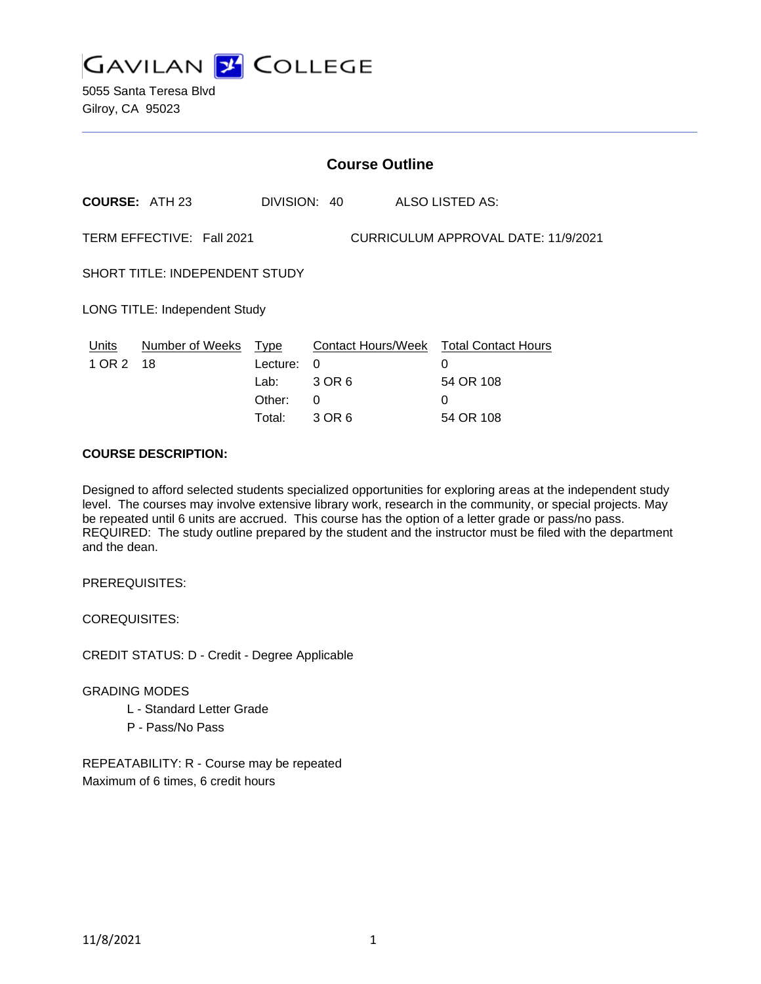

5055 Santa Teresa Blvd Gilroy, CA 95023

|                                                                  | <b>Course Outline</b> |                                              |                                   |  |                                                                            |
|------------------------------------------------------------------|-----------------------|----------------------------------------------|-----------------------------------|--|----------------------------------------------------------------------------|
|                                                                  | <b>COURSE: ATH 23</b> |                                              | DIVISION: 40                      |  | ALSO LISTED AS:                                                            |
| TERM EFFECTIVE: Fall 2021<br>CURRICULUM APPROVAL DATE: 11/9/2021 |                       |                                              |                                   |  |                                                                            |
| <b>SHORT TITLE: INDEPENDENT STUDY</b>                            |                       |                                              |                                   |  |                                                                            |
| LONG TITLE: Independent Study                                    |                       |                                              |                                   |  |                                                                            |
| Units<br>1 OR 2                                                  | Number of Weeks<br>18 | Type<br>Lecture:<br>Lab:<br>Other:<br>Total: | $\Omega$<br>3 OR 6<br>0<br>3 OR 6 |  | Contact Hours/Week Total Contact Hours<br>0<br>54 OR 108<br>0<br>54 OR 108 |
|                                                                  |                       |                                              |                                   |  |                                                                            |

## **COURSE DESCRIPTION:**

Designed to afford selected students specialized opportunities for exploring areas at the independent study level. The courses may involve extensive library work, research in the community, or special projects. May be repeated until 6 units are accrued. This course has the option of a letter grade or pass/no pass. REQUIRED: The study outline prepared by the student and the instructor must be filed with the department and the dean.

PREREQUISITES:

COREQUISITES:

CREDIT STATUS: D - Credit - Degree Applicable

#### GRADING MODES

- L Standard Letter Grade
- P Pass/No Pass

REPEATABILITY: R - Course may be repeated Maximum of 6 times, 6 credit hours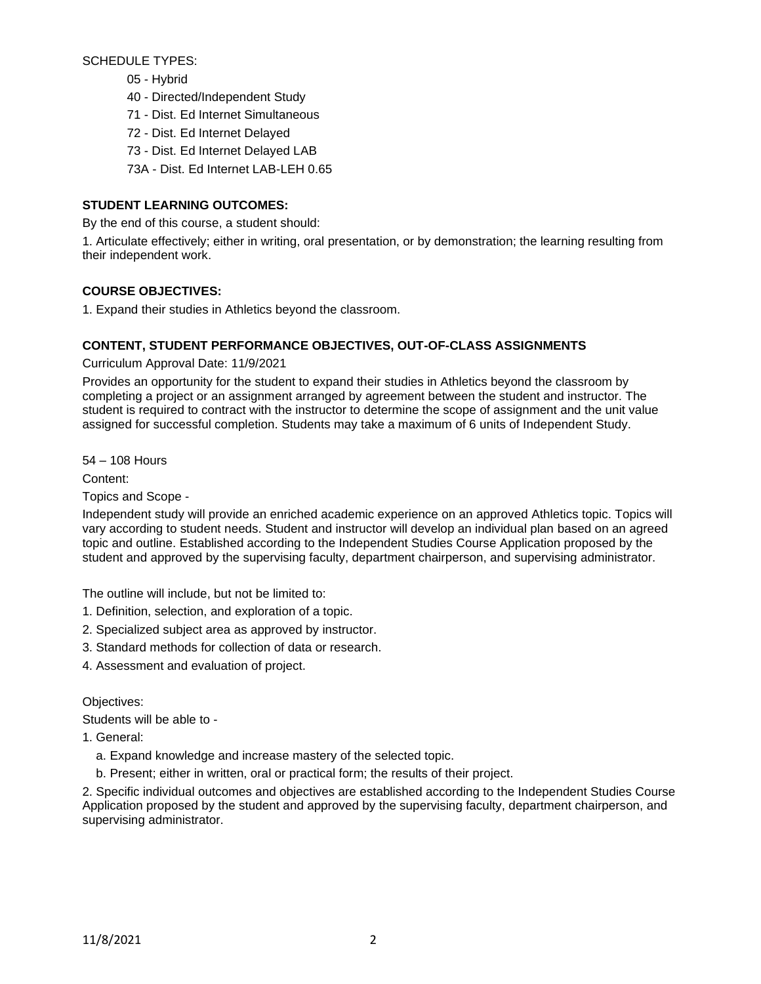SCHEDULE TYPES:

- 05 Hybrid
- 40 Directed/Independent Study
- 71 Dist. Ed Internet Simultaneous
- 72 Dist. Ed Internet Delayed
- 73 Dist. Ed Internet Delayed LAB
- 73A Dist. Ed Internet LAB-LEH 0.65

# **STUDENT LEARNING OUTCOMES:**

By the end of this course, a student should:

1. Articulate effectively; either in writing, oral presentation, or by demonstration; the learning resulting from their independent work.

## **COURSE OBJECTIVES:**

1. Expand their studies in Athletics beyond the classroom.

## **CONTENT, STUDENT PERFORMANCE OBJECTIVES, OUT-OF-CLASS ASSIGNMENTS**

Curriculum Approval Date: 11/9/2021

Provides an opportunity for the student to expand their studies in Athletics beyond the classroom by completing a project or an assignment arranged by agreement between the student and instructor. The student is required to contract with the instructor to determine the scope of assignment and the unit value assigned for successful completion. Students may take a maximum of 6 units of Independent Study.

54 – 108 Hours

Content:

Topics and Scope -

Independent study will provide an enriched academic experience on an approved Athletics topic. Topics will vary according to student needs. Student and instructor will develop an individual plan based on an agreed topic and outline. Established according to the Independent Studies Course Application proposed by the student and approved by the supervising faculty, department chairperson, and supervising administrator.

The outline will include, but not be limited to:

- 1. Definition, selection, and exploration of a topic.
- 2. Specialized subject area as approved by instructor.
- 3. Standard methods for collection of data or research.
- 4. Assessment and evaluation of project.

Objectives:

Students will be able to -

1. General:

- a. Expand knowledge and increase mastery of the selected topic.
- b. Present; either in written, oral or practical form; the results of their project.

2. Specific individual outcomes and objectives are established according to the Independent Studies Course Application proposed by the student and approved by the supervising faculty, department chairperson, and supervising administrator.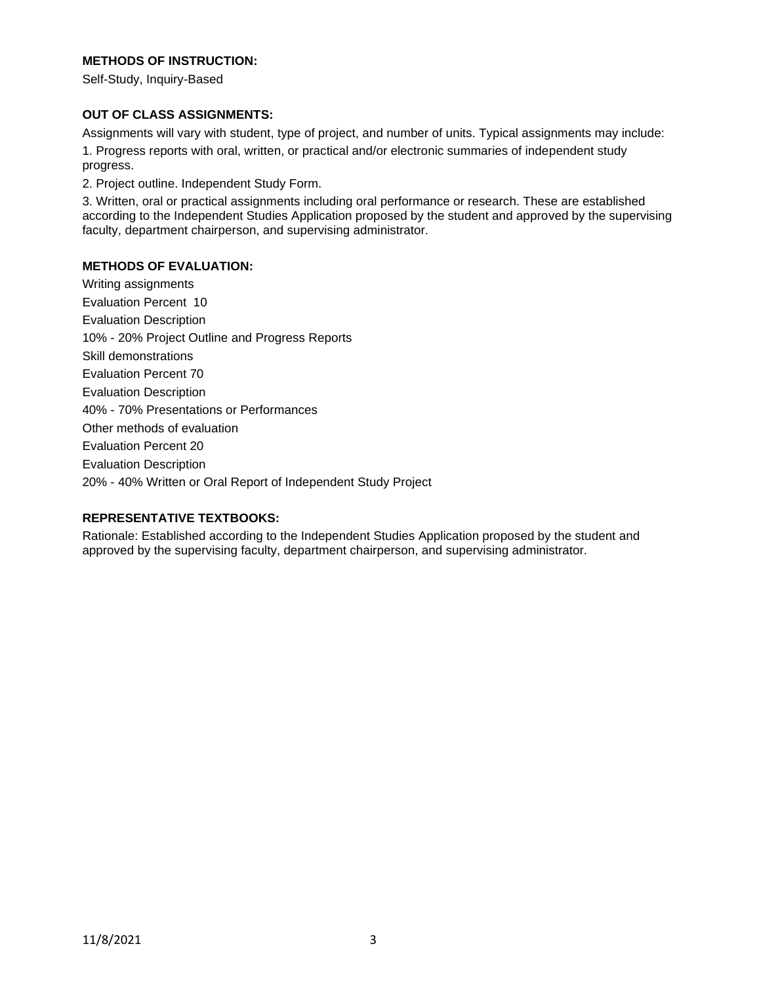## **METHODS OF INSTRUCTION:**

Self-Study, Inquiry-Based

#### **OUT OF CLASS ASSIGNMENTS:**

Assignments will vary with student, type of project, and number of units. Typical assignments may include:

1. Progress reports with oral, written, or practical and/or electronic summaries of independent study progress.

2. Project outline. Independent Study Form.

3. Written, oral or practical assignments including oral performance or research. These are established according to the Independent Studies Application proposed by the student and approved by the supervising faculty, department chairperson, and supervising administrator.

### **METHODS OF EVALUATION:**

Writing assignments Evaluation Percent 10 Evaluation Description 10% - 20% Project Outline and Progress Reports Skill demonstrations Evaluation Percent 70 Evaluation Description 40% - 70% Presentations or Performances Other methods of evaluation Evaluation Percent 20 Evaluation Description 20% - 40% Written or Oral Report of Independent Study Project

## **REPRESENTATIVE TEXTBOOKS:**

Rationale: Established according to the Independent Studies Application proposed by the student and approved by the supervising faculty, department chairperson, and supervising administrator.